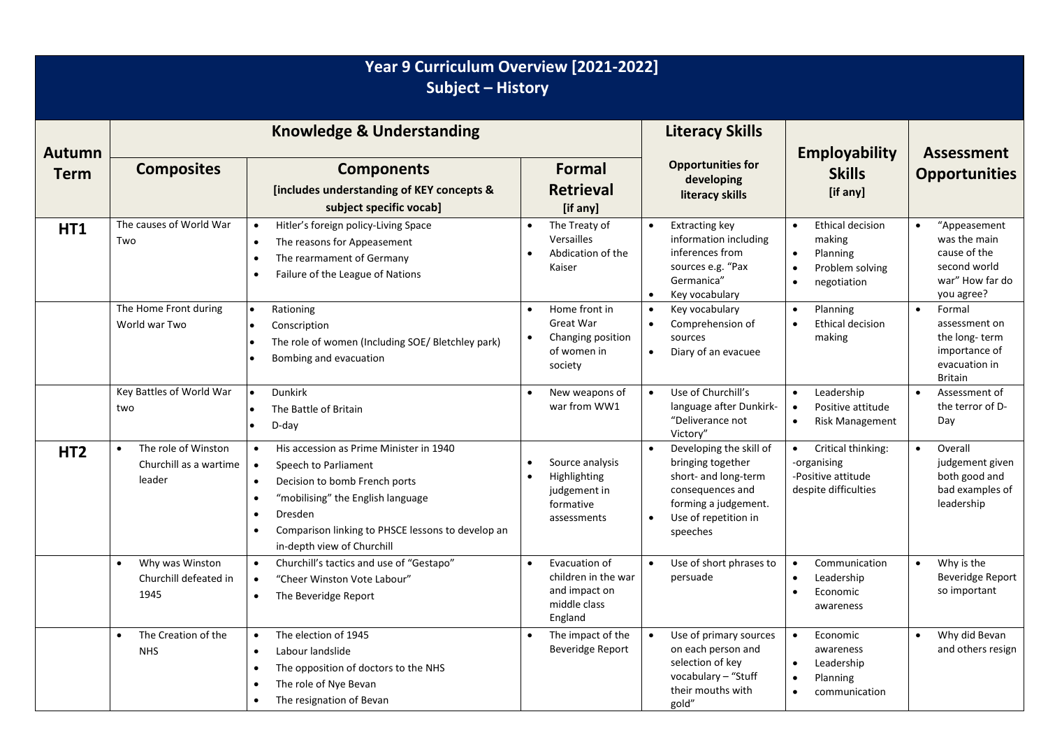| Year 9 Curriculum Overview [2021-2022]<br>Subject - History |                                                                      |                                                                                                                                                                                                                                                                                                                   |                                                                                               |                                                                                                                                                                   |                                                                                                                      |                                                                                                            |  |
|-------------------------------------------------------------|----------------------------------------------------------------------|-------------------------------------------------------------------------------------------------------------------------------------------------------------------------------------------------------------------------------------------------------------------------------------------------------------------|-----------------------------------------------------------------------------------------------|-------------------------------------------------------------------------------------------------------------------------------------------------------------------|----------------------------------------------------------------------------------------------------------------------|------------------------------------------------------------------------------------------------------------|--|
| <b>Autumn</b>                                               | <b>Knowledge &amp; Understanding</b>                                 |                                                                                                                                                                                                                                                                                                                   |                                                                                               | <b>Literacy Skills</b>                                                                                                                                            | <b>Employability</b>                                                                                                 | <b>Assessment</b>                                                                                          |  |
| <b>Term</b>                                                 | <b>Composites</b>                                                    | <b>Components</b><br><b>[includes understanding of KEY concepts &amp;</b><br>subject specific vocab]                                                                                                                                                                                                              | <b>Formal</b><br><b>Retrieval</b><br>[if any]                                                 | <b>Opportunities for</b><br>developing<br>literacy skills                                                                                                         | <b>Skills</b><br>[if any]                                                                                            | <b>Opportunities</b>                                                                                       |  |
| HT1                                                         | The causes of World War<br>Two                                       | Hitler's foreign policy-Living Space<br>$\bullet$<br>The reasons for Appeasement<br>$\bullet$<br>The rearmament of Germany<br>$\bullet$<br>Failure of the League of Nations<br>$\bullet$                                                                                                                          | The Treaty of<br>Versailles<br>Abdication of the<br>Kaiser                                    | <b>Extracting key</b><br>$\bullet$<br>information including<br>inferences from<br>sources e.g. "Pax<br>Germanica"<br>Key vocabulary                               | Ethical decision<br>$\bullet$<br>making<br>Planning<br>$\bullet$<br>Problem solving<br>٠<br>negotiation<br>$\bullet$ | $\bullet$<br>"Appeasement<br>was the main<br>cause of the<br>second world<br>war" How far do<br>you agree? |  |
|                                                             | The Home Front during<br>World war Two                               | Rationing<br>$\bullet$<br>Conscription<br>$\bullet$<br>The role of women (Including SOE/ Bletchley park)<br>$\bullet$<br>Bombing and evacuation<br>$\bullet$                                                                                                                                                      | Home front in<br>$\bullet$<br>Great War<br>Changing position<br>of women in<br>society        | Key vocabulary<br>$\bullet$<br>Comprehension of<br>$\bullet$<br>sources<br>Diary of an evacuee<br>$\bullet$                                                       | <b>Planning</b><br>$\bullet$<br>Ethical decision<br>$\bullet$<br>making                                              | $\bullet$<br>Formal<br>assessment on<br>the long-term<br>importance of<br>evacuation in<br><b>Britain</b>  |  |
|                                                             | Key Battles of World War<br>two                                      | Dunkirk<br>$\bullet$<br>The Battle of Britain<br>$\bullet$<br>D-day<br>$\bullet$                                                                                                                                                                                                                                  | New weapons of<br>war from WW1                                                                | Use of Churchill's<br>$\bullet$<br>language after Dunkirk-<br>"Deliverance not<br>Victory"                                                                        | Leadership<br>$\bullet$<br>Positive attitude<br><b>Risk Management</b>                                               | $\bullet$<br>Assessment of<br>the terror of D-<br>Day                                                      |  |
| HT <sub>2</sub>                                             | The role of Winston<br>$\bullet$<br>Churchill as a wartime<br>leader | His accession as Prime Minister in 1940<br>$\bullet$<br>Speech to Parliament<br>$\bullet$<br>Decision to bomb French ports<br>$\bullet$<br>"mobilising" the English language<br>$\bullet$<br>Dresden<br>$\bullet$<br>Comparison linking to PHSCE lessons to develop an<br>$\bullet$<br>in-depth view of Churchill | Source analysis<br>$\bullet$<br>Highlighting<br>judgement in<br>formative<br>assessments      | Developing the skill of<br>bringing together<br>short- and long-term<br>consequences and<br>forming a judgement.<br>Use of repetition in<br>$\bullet$<br>speeches | Critical thinking:<br>$\bullet$<br>-organising<br>-Positive attitude<br>despite difficulties                         | $\bullet$<br>Overall<br>judgement given<br>both good and<br>bad examples of<br>leadership                  |  |
|                                                             | Why was Winston<br>$\bullet$<br>Churchill defeated in<br>1945        | Churchill's tactics and use of "Gestapo"<br>$\bullet$<br>"Cheer Winston Vote Labour"<br>$\bullet$<br>The Beveridge Report<br>$\bullet$                                                                                                                                                                            | Evacuation of<br>$\bullet$<br>children in the war<br>and impact on<br>middle class<br>England | Use of short phrases to<br>persuade                                                                                                                               | Communication<br>$\bullet$<br>Leadership<br>$\bullet$<br>Economic<br>awareness                                       | Why is the<br>$\bullet$<br>Beveridge Report<br>so important                                                |  |
|                                                             | The Creation of the<br>$\bullet$<br><b>NHS</b>                       | The election of 1945<br>$\bullet$<br>Labour landslide<br>$\bullet$<br>The opposition of doctors to the NHS<br>$\bullet$<br>The role of Nye Bevan<br>$\bullet$<br>The resignation of Bevan<br>$\bullet$                                                                                                            | The impact of the<br><b>Beveridge Report</b>                                                  | Use of primary sources<br>on each person and<br>selection of key<br>vocabulary - "Stuff<br>their mouths with<br>gold"                                             | $\bullet$<br>Economic<br>awareness<br>Leadership<br>$\bullet$<br>Planning<br>communication                           | Why did Bevan<br>$\bullet$<br>and others resign                                                            |  |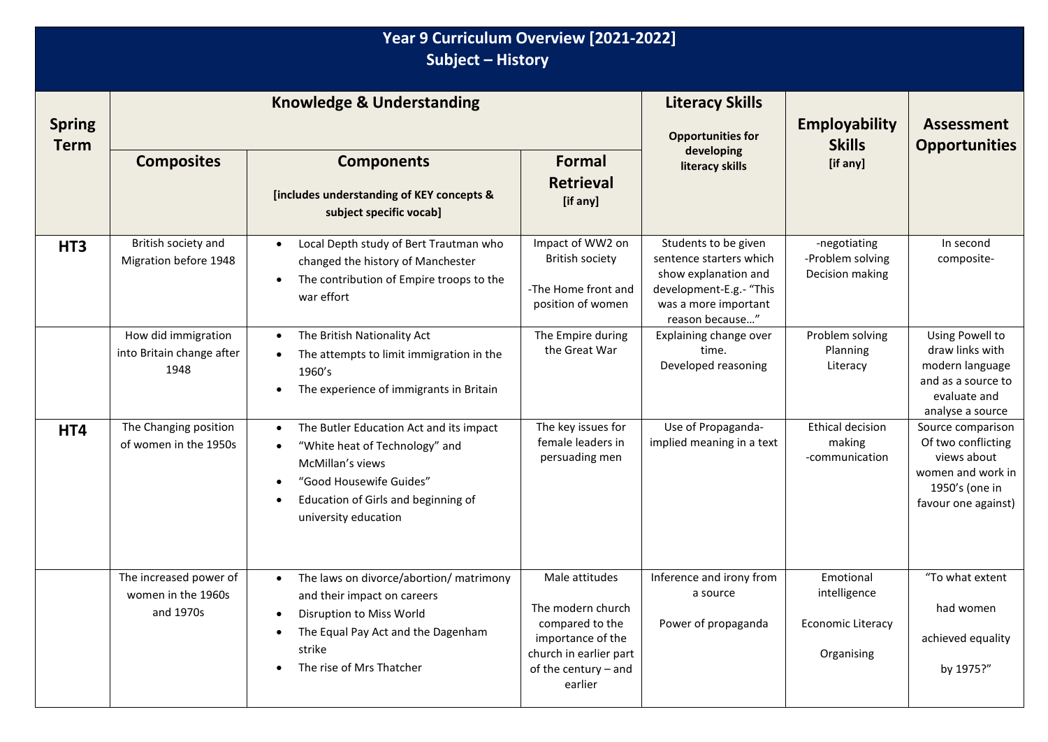| Year 9 Curriculum Overview [2021-2022]<br>Subject - History |                                                           |                                                                                                                                                                                                                                             |                                                                                                                                          |                                                                                                                                               |                                                                     |                                                                                                                      |  |
|-------------------------------------------------------------|-----------------------------------------------------------|---------------------------------------------------------------------------------------------------------------------------------------------------------------------------------------------------------------------------------------------|------------------------------------------------------------------------------------------------------------------------------------------|-----------------------------------------------------------------------------------------------------------------------------------------------|---------------------------------------------------------------------|----------------------------------------------------------------------------------------------------------------------|--|
| <b>Spring</b><br><b>Term</b>                                | <b>Knowledge &amp; Understanding</b>                      |                                                                                                                                                                                                                                             |                                                                                                                                          | <b>Literacy Skills</b><br><b>Opportunities for</b>                                                                                            | <b>Employability</b><br><b>Skills</b>                               | <b>Assessment</b><br><b>Opportunities</b>                                                                            |  |
|                                                             | <b>Composites</b>                                         | <b>Components</b><br>[includes understanding of KEY concepts &<br>subject specific vocab]                                                                                                                                                   | <b>Formal</b><br><b>Retrieval</b><br>[if any]                                                                                            | developing<br>literacy skills                                                                                                                 | [if any]                                                            |                                                                                                                      |  |
| HT <sub>3</sub>                                             | British society and<br>Migration before 1948              | Local Depth study of Bert Trautman who<br>$\bullet$<br>changed the history of Manchester<br>The contribution of Empire troops to the<br>$\bullet$<br>war effort                                                                             | Impact of WW2 on<br><b>British society</b><br>-The Home front and<br>position of women                                                   | Students to be given<br>sentence starters which<br>show explanation and<br>development-E.g.- "This<br>was a more important<br>reason because" | -negotiating<br>-Problem solving<br>Decision making                 | In second<br>composite-                                                                                              |  |
|                                                             | How did immigration<br>into Britain change after<br>1948  | The British Nationality Act<br>$\bullet$<br>The attempts to limit immigration in the<br>$\bullet$<br>1960's<br>The experience of immigrants in Britain<br>$\bullet$                                                                         | The Empire during<br>the Great War                                                                                                       | Explaining change over<br>time.<br>Developed reasoning                                                                                        | Problem solving<br>Planning<br>Literacy                             | Using Powell to<br>draw links with<br>modern language<br>and as a source to<br>evaluate and<br>analyse a source      |  |
| HT4                                                         | The Changing position<br>of women in the 1950s            | The Butler Education Act and its impact<br>$\bullet$<br>"White heat of Technology" and<br>$\bullet$<br>McMillan's views<br>"Good Housewife Guides"<br>$\bullet$<br>Education of Girls and beginning of<br>$\bullet$<br>university education | The key issues for<br>female leaders in<br>persuading men                                                                                | Use of Propaganda-<br>implied meaning in a text                                                                                               | <b>Ethical decision</b><br>making<br>-communication                 | Source comparison<br>Of two conflicting<br>views about<br>women and work in<br>1950's (one in<br>favour one against) |  |
|                                                             | The increased power of<br>women in the 1960s<br>and 1970s | The laws on divorce/abortion/ matrimony<br>٠<br>and their impact on careers<br>Disruption to Miss World<br>$\bullet$<br>The Equal Pay Act and the Dagenham<br>٠<br>strike<br>The rise of Mrs Thatcher<br>$\bullet$                          | Male attitudes<br>The modern church<br>compared to the<br>importance of the<br>church in earlier part<br>of the century - and<br>earlier | Inference and irony from<br>a source<br>Power of propaganda                                                                                   | Emotional<br>intelligence<br><b>Economic Literacy</b><br>Organising | "To what extent<br>had women<br>achieved equality<br>by 1975?"                                                       |  |